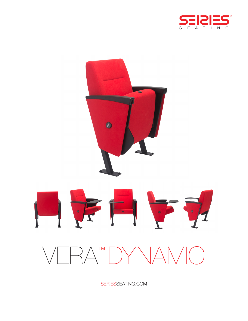



SERIESSEATING.COM